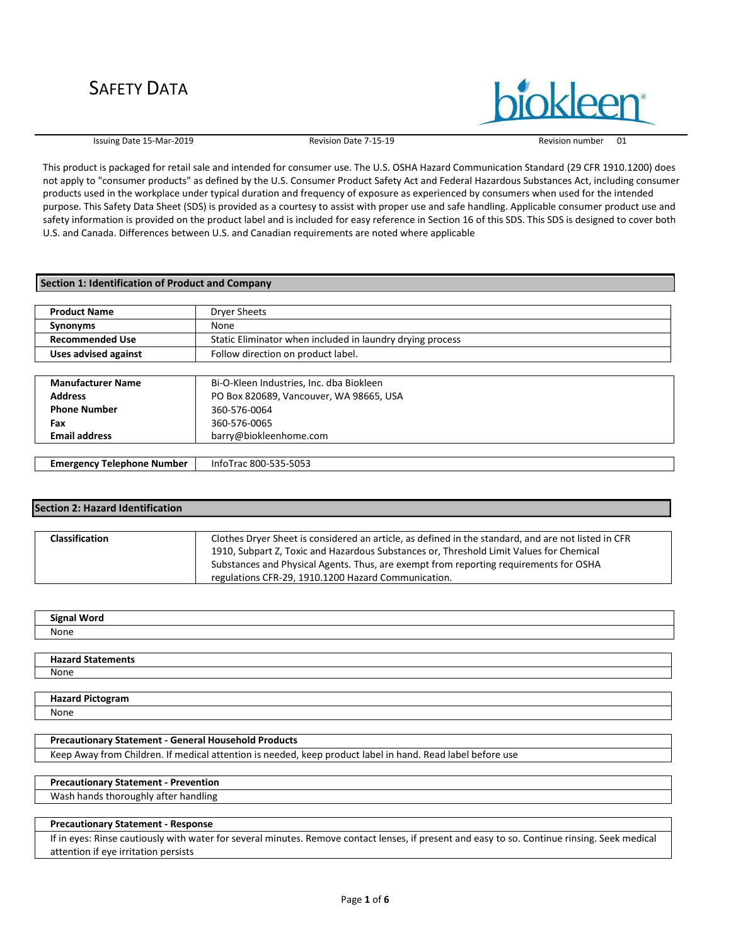

Issuing Date 15-Mar-2019 Revision Date 7-15-19 Revision number 01

This product is packaged for retail sale and intended for consumer use. The U.S. OSHA Hazard Communication Standard (29 CFR 1910.1200) does not apply to "consumer products" as defined by the U.S. Consumer Product Safety Act and Federal Hazardous Substances Act, including consumer products used in the workplace under typical duration and frequency of exposure as experienced by consumers when used for the intended purpose. This Safety Data Sheet (SDS) is provided as a courtesy to assist with proper use and safe handling. Applicable consumer product use and safety information is provided on the product label and is included for easy reference in Section 16 of this SDS. This SDS is designed to cover both U.S. and Canada. Differences between U.S. and Canadian requirements are noted where applicable

## **Section 1: Identification of Product and Company**

| <b>Product Name</b>    | Dryer Sheets                                              |
|------------------------|-----------------------------------------------------------|
| <b>Synonyms</b>        | None                                                      |
| <b>Recommended Use</b> | Static Eliminator when included in laundry drying process |
| Uses advised against   | Follow direction on product label.                        |
|                        |                                                           |

| <b>Manufacturer Name</b>          | Bi-O-Kleen Industries, Inc. dba Biokleen |
|-----------------------------------|------------------------------------------|
| <b>Address</b>                    | PO Box 820689, Vancouver, WA 98665, USA  |
| <b>Phone Number</b>               | 360-576-0064                             |
| Fax                               | 360-576-0065                             |
| <b>Email address</b>              | barry@biokleenhome.com                   |
|                                   |                                          |
| <b>Emergency Telephone Number</b> | InfoTrac 800-535-5053                    |

## **Section 2: Hazard Identification**

| <b>Classification</b> | Clothes Dryer Sheet is considered an article, as defined in the standard, and are not listed in CFR |
|-----------------------|-----------------------------------------------------------------------------------------------------|
|                       | 1910, Subpart Z, Toxic and Hazardous Substances or, Threshold Limit Values for Chemical             |
|                       | Substances and Physical Agents. Thus, are exempt from reporting requirements for OSHA               |
|                       | regulations CFR-29, 1910.1200 Hazard Communication.                                                 |

| .<br>ыо<br>ur |  |
|---------------|--|
| None          |  |
|               |  |

| <b>Un</b><br>11 L.S |  |
|---------------------|--|
| None                |  |
|                     |  |

#### **Hazard Pictogram** None

#### **Precautionary Statement - General Household Products**

Keep Away from Children. If medical attention is needed, keep product label in hand. Read label before use

## **Precautionary Statement - Prevention**

Wash hands thoroughly after handling

## **Precautionary Statement - Response**

If in eyes: Rinse cautiously with water for several minutes. Remove contact lenses, if present and easy to so. Continue rinsing. Seek medical attention if eye irritation persists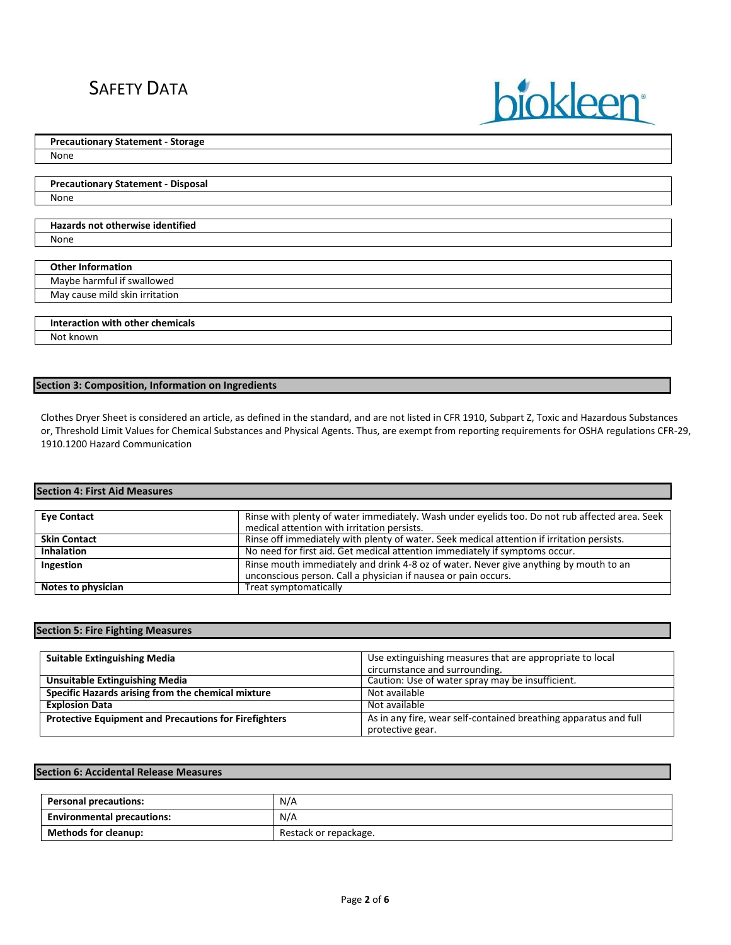**Precautionary Statement - Storage**

None

**Precautionary Statement - Disposal** None

### **Hazards not otherwise identified** None

**Other Information** Maybe harmful if swallowed May cause mild skin irritation

**Interaction with other chemicals** Not known

**Section 3: Composition, Information on Ingredients**

Clothes Dryer Sheet is considered an article, as defined in the standard, and are not listed in CFR 1910, Subpart Z, Toxic and Hazardous Substances or, Threshold Limit Values for Chemical Substances and Physical Agents. Thus, are exempt from reporting requirements for OSHA regulations CFR-29, 1910.1200 Hazard Communication

**biokleen** 

## **Section 4: First Aid Measures**

| <b>Eve Contact</b>  | Rinse with plenty of water immediately. Wash under eyelids too. Do not rub affected area. Seek |  |
|---------------------|------------------------------------------------------------------------------------------------|--|
|                     | medical attention with irritation persists.                                                    |  |
| <b>Skin Contact</b> | Rinse off immediately with plenty of water. Seek medical attention if irritation persists.     |  |
| <b>Inhalation</b>   | No need for first aid. Get medical attention immediately if symptoms occur.                    |  |
| Ingestion           | Rinse mouth immediately and drink 4-8 oz of water. Never give anything by mouth to an          |  |
|                     | unconscious person. Call a physician if nausea or pain occurs.                                 |  |
| Notes to physician  | Treat symptomatically                                                                          |  |

## **Section 5: Fire Fighting Measures**

| <b>Suitable Extinguishing Media</b>                          | Use extinguishing measures that are appropriate to local<br>circumstance and surrounding. |
|--------------------------------------------------------------|-------------------------------------------------------------------------------------------|
| <b>Unsuitable Extinguishing Media</b>                        | Caution: Use of water spray may be insufficient.                                          |
| Specific Hazards arising from the chemical mixture           | Not available                                                                             |
| <b>Explosion Data</b>                                        | Not available                                                                             |
| <b>Protective Equipment and Precautions for Firefighters</b> | As in any fire, wear self-contained breathing apparatus and full                          |
|                                                              | protective gear.                                                                          |

#### **Section 6: Accidental Release Measures**

| <b>Personal precautions:</b>      | N/A                   |
|-----------------------------------|-----------------------|
| <b>Environmental precautions:</b> | N/A                   |
| <b>Methods for cleanup:</b>       | Restack or repackage. |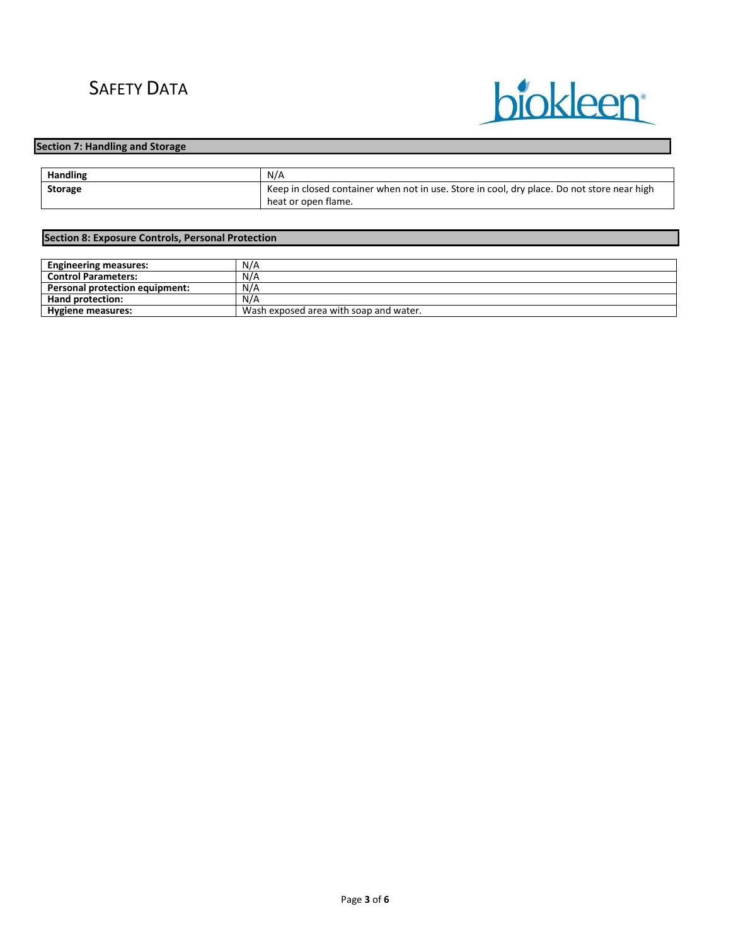

## **Section 7: Handling and Storage**

| <b>Handling</b> | N/A                                                                                        |
|-----------------|--------------------------------------------------------------------------------------------|
| <b>Storage</b>  | Keep in closed container when not in use. Store in cool, dry place. Do not store near high |
|                 | heat or open flame.                                                                        |

## **Section 8: Exposure Controls, Personal Protection**

| <b>Engineering measures:</b>          | N/A                                    |
|---------------------------------------|----------------------------------------|
| <b>Control Parameters:</b>            | N/A                                    |
| <b>Personal protection equipment:</b> | N/A                                    |
| <b>Hand protection:</b>               | N/A                                    |
| Hygiene measures:                     | Wash exposed area with soap and water. |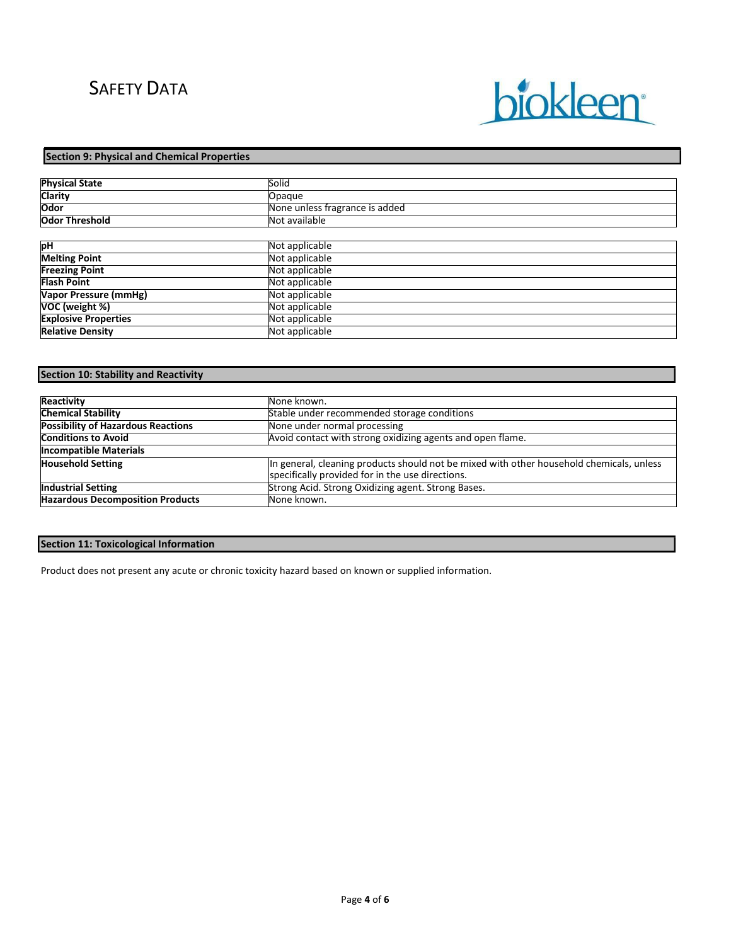# biokleen

## **Section 9: Physical and Chemical Properties**

| <b>Physical State</b>       | Solid                          |
|-----------------------------|--------------------------------|
| <b>Clarity</b>              | Opaque                         |
| <b>Odor</b>                 | None unless fragrance is added |
| <b>Odor Threshold</b>       | Not available                  |
|                             |                                |
| рH                          | Not applicable                 |
| <b>Melting Point</b>        | Not applicable                 |
| <b>Freezing Point</b>       | Not applicable                 |
| <b>Flash Point</b>          | Not applicable                 |
| Vapor Pressure (mmHg)       | Not applicable                 |
| VOC (weight %)              | Not applicable                 |
| <b>Explosive Properties</b> | Not applicable                 |
| <b>Relative Density</b>     | Not applicable                 |

## **Section 10: Stability and Reactivity**

| Reactivity                                | None known.                                                                                                                                  |
|-------------------------------------------|----------------------------------------------------------------------------------------------------------------------------------------------|
| <b>Chemical Stability</b>                 | Stable under recommended storage conditions                                                                                                  |
| <b>Possibility of Hazardous Reactions</b> | None under normal processing                                                                                                                 |
| <b>Conditions to Avoid</b>                | Avoid contact with strong oxidizing agents and open flame.                                                                                   |
| <b>Incompatible Materials</b>             |                                                                                                                                              |
| <b>Household Setting</b>                  | In general, cleaning products should not be mixed with other household chemicals, unless<br>specifically provided for in the use directions. |
| <b>Industrial Setting</b>                 | Strong Acid. Strong Oxidizing agent. Strong Bases.                                                                                           |
| <b>Hazardous Decomposition Products</b>   | None known.                                                                                                                                  |

## **Section 11: Toxicological Information**

Product does not present any acute or chronic toxicity hazard based on known or supplied information.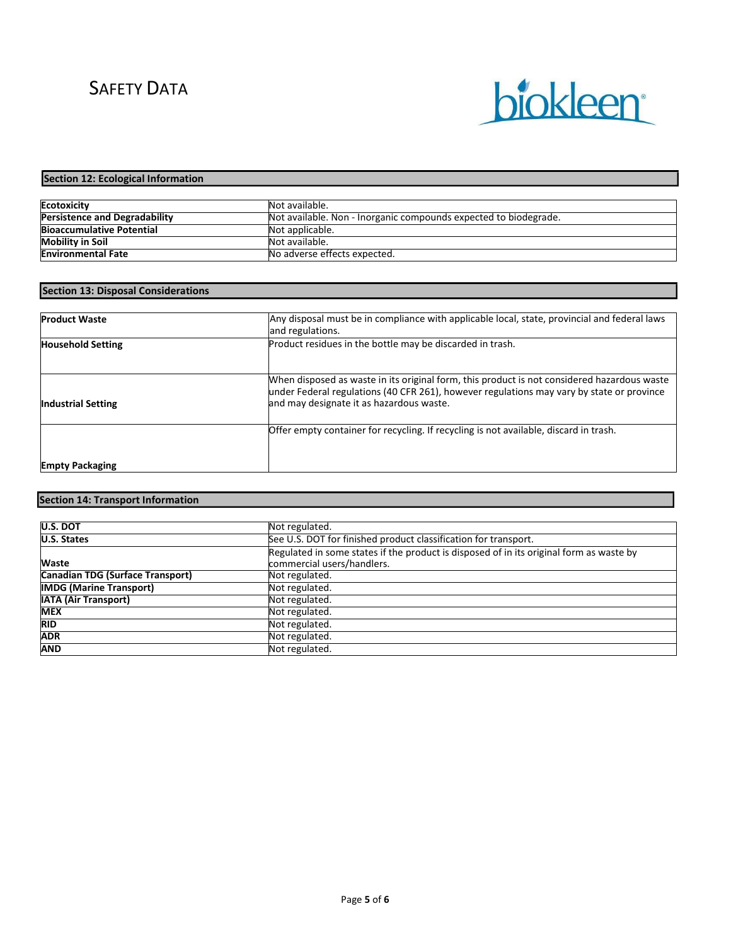

## **Section 12: Ecological Information**

| <b>Ecotoxicity</b>                   | Not available.                                                   |
|--------------------------------------|------------------------------------------------------------------|
| <b>Persistence and Degradability</b> | Not available. Non - Inorganic compounds expected to biodegrade. |
| <b>Bioaccumulative Potential</b>     | Not applicable.                                                  |
| <b>Mobility in Soil</b>              | Not available.                                                   |
| <b>Environmental Fate</b>            | No adverse effects expected.                                     |

## **Section 13: Disposal Considerations**

| <b>Product Waste</b>      | Any disposal must be in compliance with applicable local, state, provincial and federal laws<br>and regulations.                                                                                                                     |
|---------------------------|--------------------------------------------------------------------------------------------------------------------------------------------------------------------------------------------------------------------------------------|
| <b>Household Setting</b>  | Product residues in the bottle may be discarded in trash.                                                                                                                                                                            |
| <b>Industrial Setting</b> | When disposed as waste in its original form, this product is not considered hazardous waste<br>under Federal regulations (40 CFR 261), however regulations may vary by state or province<br>and may designate it as hazardous waste. |
|                           | Offer empty container for recycling. If recycling is not available, discard in trash.                                                                                                                                                |
| <b>Empty Packaging</b>    |                                                                                                                                                                                                                                      |

## **Section 14: Transport Information**

| <b>U.S. DOT</b>                  | Not regulated.                                                                          |
|----------------------------------|-----------------------------------------------------------------------------------------|
| U.S. States                      | See U.S. DOT for finished product classification for transport.                         |
|                                  | Regulated in some states if the product is disposed of in its original form as waste by |
| <b>Waste</b>                     | commercial users/handlers.                                                              |
| Canadian TDG (Surface Transport) | Not regulated.                                                                          |
| <b>IMDG (Marine Transport)</b>   | Not regulated.                                                                          |
| <b>IATA (Air Transport)</b>      | Not regulated.                                                                          |
| <b>MEX</b>                       | Not regulated.                                                                          |
| <b>RID</b>                       | Not regulated.                                                                          |
| <b>ADR</b>                       | Not regulated.                                                                          |
| AND                              | Not regulated.                                                                          |